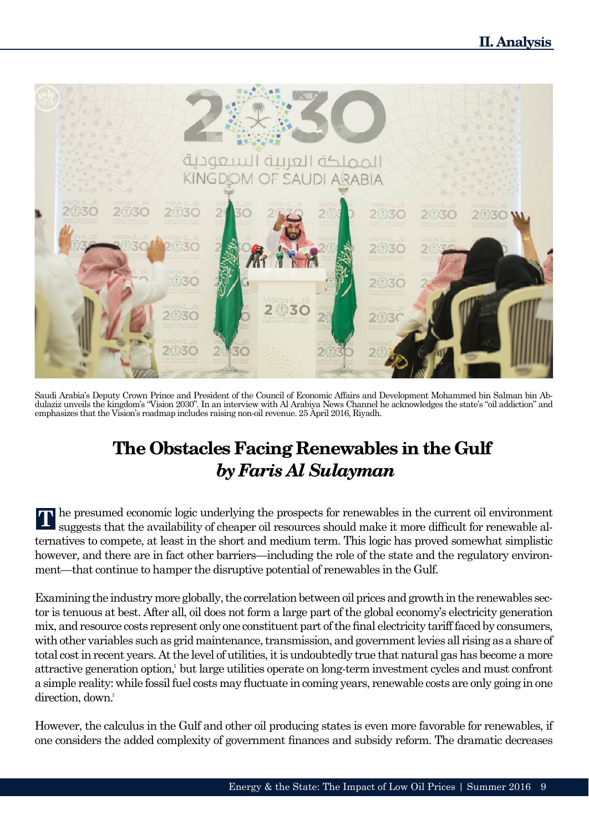

Saudi Arabia's Deputy Crown Prince and President of the Council of Economic Affairs and Development Mohammed bin Salman bin Abdulaziz unveils the kingdom's "Vision 2030". In an interview with Al Arabiya News Channel he acknowledges the state's "oil addiction" and emphasizes that the Vision's roadmap includes raising non-oil revenue. 25 April 2016, Riyadh.

## **The Obstacles Facing Renewables in the Gulf** *by Faris Al Sulayman*

he presumed economic logic underlying the prospects for renewables in the current oil environment suggests that the availability of cheaper oil resources should make it more difficult for renewable alternatives to compete, at least in the short and medium term. This logic has proved somewhat simplistic however, and there are in fact other barriers—including the role of the state and the regulatory environment—that continue to hamper the disruptive potential of renewables in the Gulf.

Examining the industry more globally, the correlation between oil prices and growth in the renewables sector is tenuous at best. After all, oil does not form a large part of the global economy's electricity generation mix, and resource costs represent only one constituent part of the final electricity tariff faced by consumers, with other variables such as grid maintenance, transmission, and government levies all rising as a share of total cost in recent years. At the level of utilities, it is undoubtedly true that natural gas has become a more attractive generation option, but large utilities operate on long-term investment cycles and must confront a simple reality: while fossil fuel costs may fluctuate in coming years, renewable costs are only going in one direction, down.<sup>2</sup>

However, the calculus in the Gulf and other oil producing states is even more favorable for renewables, if one considers the added complexity of government finances and subsidy reform. The dramatic decreases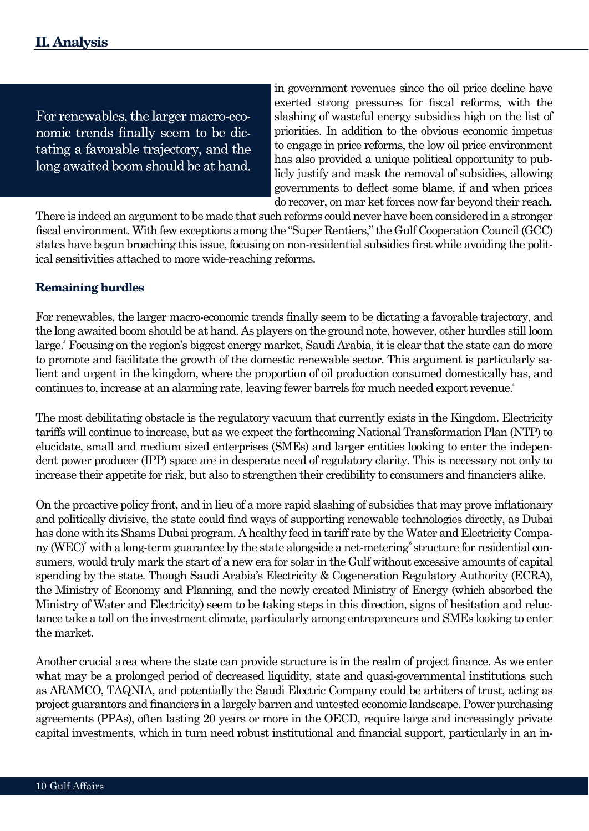For renewables, the larger macro-economic trends finally seem to be dictating a favorable trajectory, and the long awaited boom should be at hand. in government revenues since the oil price decline have exerted strong pressures for fiscal reforms, with the slashing of wasteful energy subsidies high on the list of priorities. In addition to the obvious economic impetus to engage in price reforms, the low oil price environment has also provided a unique political opportunity to publicly justify and mask the removal of subsidies, allowing governments to deflect some blame, if and when prices do recover, on mar ket forces now far beyond their reach.

There is indeed an argument to be made that such reforms could never have been considered in a stronger fiscal environment. With few exceptions among the "Super Rentiers," the Gulf Cooperation Council (GCC) states have begun broaching this issue, focusing on non-residential subsidies first while avoiding the political sensitivities attached to more wide-reaching reforms.

## **Remaining hurdles**

For renewables, the larger macro-economic trends finally seem to be dictating a favorable trajectory, and the long awaited boom should be at hand. As players on the ground note, however, other hurdles still loom large.<sup>3</sup> Focusing on the region's biggest energy market, Saudi Arabia, it is clear that the state can do more to promote and facilitate the growth of the domestic renewable sector. This argument is particularly salient and urgent in the kingdom, where the proportion of oil production consumed domestically has, and continues to, increase at an alarming rate, leaving fewer barrels for much needed export revenue.<sup>4</sup>

The most debilitating obstacle is the regulatory vacuum that currently exists in the Kingdom. Electricity tariffs will continue to increase, but as we expect the forthcoming National Transformation Plan (NTP) to elucidate, small and medium sized enterprises (SMEs) and larger entities looking to enter the independent power producer (IPP) space are in desperate need of regulatory clarity. This is necessary not only to increase their appetite for risk, but also to strengthen their credibility to consumers and financiers alike.

On the proactive policy front, and in lieu of a more rapid slashing of subsidies that may prove inflationary and politically divisive, the state could find ways of supporting renewable technologies directly, as Dubai has done with its Shams Dubai program. A healthy feed in tariff rate by the Water and Electricity Company (WEC)<sup>5</sup> with a long-term guarantee by the state alongside a net-metering structure for residential consumers, would truly mark the start of a new era for solar in the Gulf without excessive amounts of capital spending by the state. Though Saudi Arabia's Electricity & Cogeneration Regulatory Authority (ECRA), the Ministry of Economy and Planning, and the newly created Ministry of Energy (which absorbed the Ministry of Water and Electricity) seem to be taking steps in this direction, signs of hesitation and reluctance take a toll on the investment climate, particularly among entrepreneurs and SMEs looking to enter the market.

Another crucial area where the state can provide structure is in the realm of project finance. As we enter what may be a prolonged period of decreased liquidity, state and quasi-governmental institutions such as ARAMCO, TAQNIA, and potentially the Saudi Electric Company could be arbiters of trust, acting as project guarantors and financiers in a largely barren and untested economic landscape. Power purchasing agreements (PPAs), often lasting 20 years or more in the OECD, require large and increasingly private capital investments, which in turn need robust institutional and financial support, particularly in an in